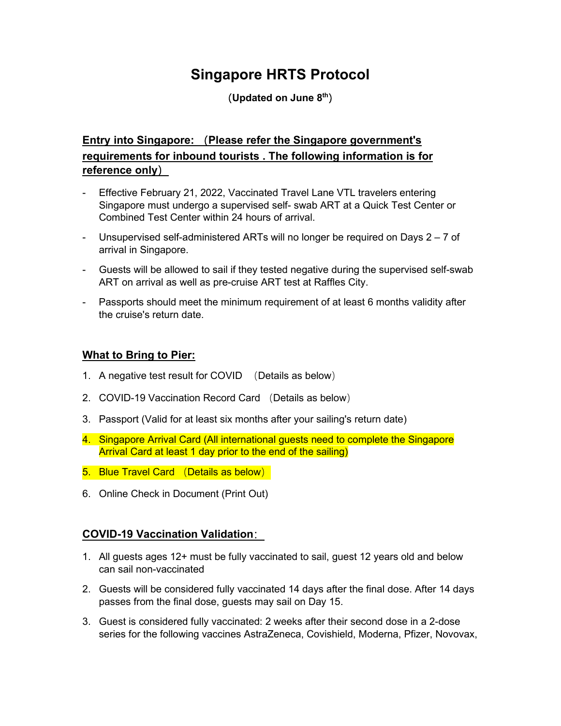# **Singapore HRTS Protocol**

(**Updated on June 8th**)

# **Entry into Singapore:** (**Please refer the Singapore government's requirements for inbound tourists . The following information is for reference only**)

- Effective February 21, 2022, Vaccinated Travel Lane VTL travelers entering Singapore must undergo a supervised self- swab ART at a Quick Test Center or Combined Test Center within 24 hours of arrival.
- Unsupervised self-administered ARTs will no longer be required on Days 2 7 of arrival in Singapore.
- Guests will be allowed to sail if they tested negative during the supervised self-swab ART on arrival as well as pre-cruise ART test at Raffles City.
- Passports should meet the minimum requirement of at least 6 months validity after the cruise's return date.

## **What to Bring to Pier:**

- 1. A negative test result for COVID (Details as below)
- 2. COVID-19 Vaccination Record Card (Details as below)
- 3. Passport (Valid for at least six months after your sailing's return date)
- 4. Singapore Arrival Card (All international quests need to complete the Singapore Arrival Card at least 1 day prior to the end of the sailing)
- 5. Blue Travel Card (Details as below)
- 6. Online Check in Document (Print Out)

## **COVID-19 Vaccination Validation**:

- 1. All guests ages 12+ must be fully vaccinated to sail, guest 12 years old and below can sail non-vaccinated
- 2. Guests will be considered fully vaccinated 14 days after the final dose. After 14 days passes from the final dose, guests may sail on Day 15.
- 3. Guest is considered fully vaccinated: 2 weeks after their second dose in a 2-dose series for the following vaccines AstraZeneca, Covishield, Moderna, Pfizer, Novovax,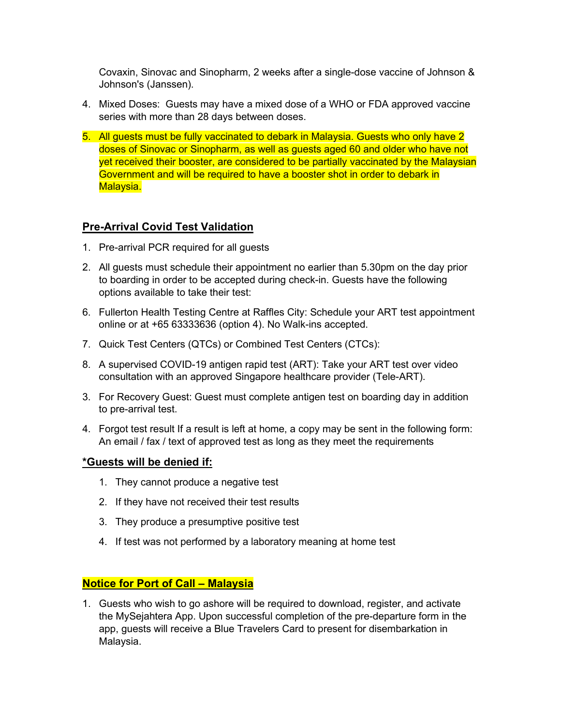Covaxin, Sinovac and Sinopharm, 2 weeks after a single-dose vaccine of Johnson & Johnson's (Janssen).

- 4. Mixed Doses: Guests may have a mixed dose of a WHO or FDA approved vaccine series with more than 28 days between doses.
- 5. All guests must be fully vaccinated to debark in Malaysia. Guests who only have 2 doses of Sinovac or Sinopharm, as well as guests aged 60 and older who have not yet received their booster, are considered to be partially vaccinated by the Malaysian Government and will be required to have a booster shot in order to debark in Malaysia.

### **Pre-Arrival Covid Test Validation**

- 1. Pre-arrival PCR required for all guests
- 2. All guests must schedule their appointment no earlier than 5.30pm on the day prior to boarding in order to be accepted during check-in. Guests have the following options available to take their test:
- 6. Fullerton Health Testing Centre at Raffles City: Schedule your ART test appointment online or at +65 63333636 (option 4). No Walk-ins accepted.
- 7. Quick Test Centers (QTCs) or Combined Test Centers (CTCs):
- 8. A supervised COVID-19 antigen rapid test (ART): Take your ART test over video consultation with an approved Singapore healthcare provider (Tele-ART).
- 3. For Recovery Guest: Guest must complete antigen test on boarding day in addition to pre-arrival test.
- 4. Forgot test result If a result is left at home, a copy may be sent in the following form: An email / fax / text of approved test as long as they meet the requirements

#### **\*Guests will be denied if:**

- 1. They cannot produce a negative test
- 2. If they have not received their test results
- 3. They produce a presumptive positive test
- 4. If test was not performed by a laboratory meaning at home test

#### **Notice for Port of Call – Malaysia**

1. Guests who wish to go ashore will be required to download, register, and activate the [MySejahtera App.](https://mysafetravel.gov.my/digital-form) Upon successful completion of the pre-departure form in the app, guests will receive a Blue Travelers Card to present for disembarkation in Malaysia.